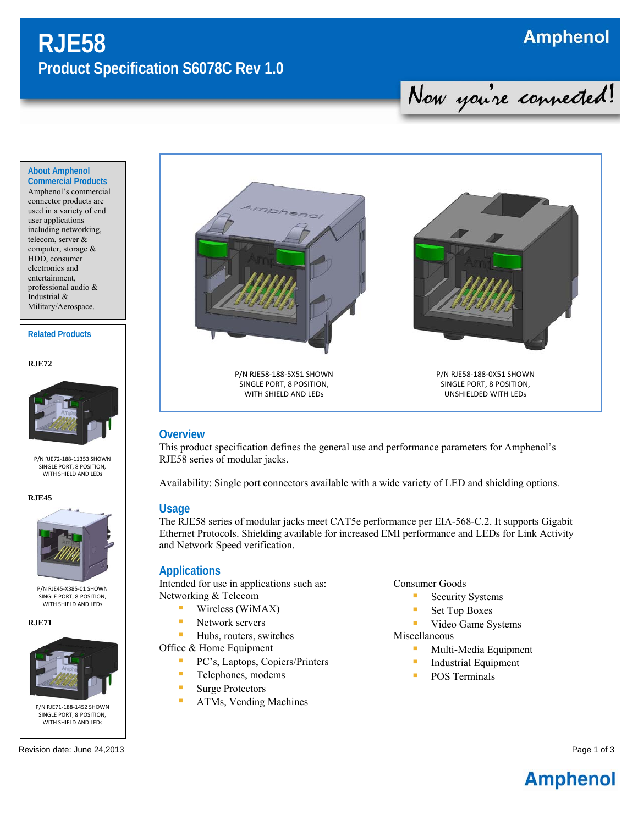# **RJE58 Product Specification S6078C Rev 1.0**

## **Amphenol**

**Commercial Products**  Amphenol's commercial connector products are used in a variety of end user applications including networking, telecom, server & computer, storage & HDD, consumer electronics and entertainment, professional audio & Industrial & Military/Aerospace.

**About Amphenol** 

#### **Related Products**

**RJE72** 



P/N RJE72‐188‐11353 SHOWN SINGLE PORT, 8 POSITION, WITH SHIFLD AND LFDs

**RJE45** 



P/N RJE45‐X385‐01 SHOWN SINGLE PORT, 8 POSITION, WITH SHIELD AND LEDs

**RJE71** 







P/N RJE58‐188‐5X51 SHOWN SINGLE PORT, 8 POSITION, WITH SHIELD AND LEDs



Now you're connected!

P/N RJE58‐188‐0X51 SHOWN SINGLE PORT, 8 POSITION, UNSHIELDED WITH LEDs

#### **Overview**

This product specification defines the general use and performance parameters for Amphenol's RJE58 series of modular jacks.

Availability: Single port connectors available with a wide variety of LED and shielding options.

#### **Usage**

The RJE58 series of modular jacks meet CAT5e performance per EIA-568-C.2. It supports Gigabit Ethernet Protocols. Shielding available for increased EMI performance and LEDs for Link Activity and Network Speed verification.

#### **Applications**

Intended for use in applications such as: Networking & Telecom

- **Wireless (WiMAX)**
- **Network servers**

**Hubs**, routers, switches

Office & Home Equipment

- PC's, Laptops, Copiers/Printers
- **Telephones**, modems
- **Surge Protectors**
- **ATMs, Vending Machines**

Consumer Goods

- **Security Systems**
- Set Top Boxes
- **Video Game Systems**

Miscellaneous

- **Multi-Media Equipment**
- **Industrial Equipment**
- **POS Terminals**

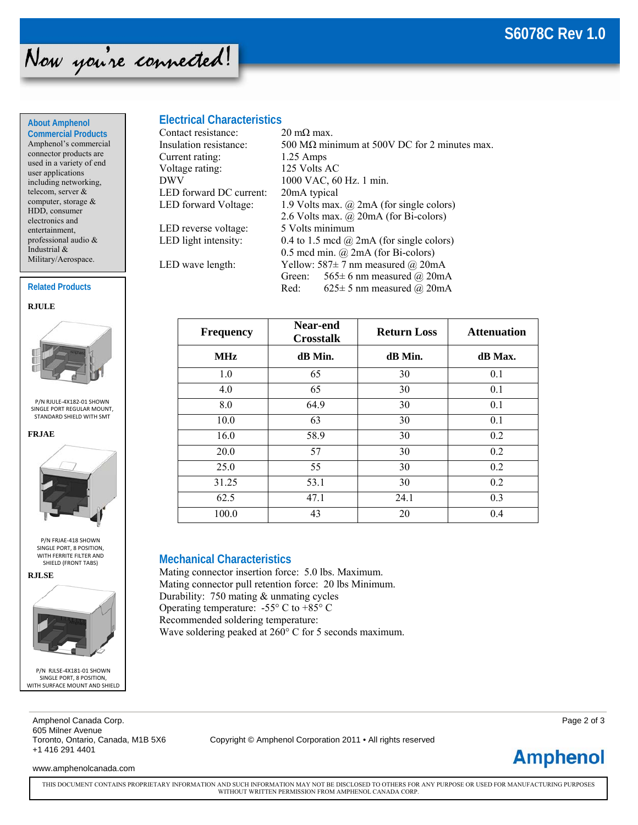

#### **About Amphenol Commercial Products**

Amphenol's commercial connector products are used in a variety of end user applications including networking, telecom, server & computer, storage & HDD, consumer electronics and entertainment, professional audio & Industrial & Military/Aerospace.

#### **Related Products**





P/N RJULE‐4X182‐01 SHOWN SINGLE PORT REGULAR MOUNT, STANDARD SHIELD WITH SMT





P/N FRJAE‐418 SHOWN SINGLE PORT, 8 POSITION, WITH FERRITE FILTER AND SHIELD (FRONT TABS)





P/N RJLSE‐4X181‐01 SHOWN SINGLE PORT, 8 POSITION, WITH SURFACE MOUNT AND SHIELD

### **Electrical Characteristics**

| Contact resistance:     | $20 \text{ m}\Omega$ max.                            |  |  |
|-------------------------|------------------------------------------------------|--|--|
| Insulation resistance:  | 500 M $\Omega$ minimum at 500V DC for 2 minutes max. |  |  |
| Current rating:         | $1.25$ Amps                                          |  |  |
| Voltage rating:         | 125 Volts AC                                         |  |  |
| DWV                     | 1000 VAC, 60 Hz. 1 min.                              |  |  |
| LED forward DC current: | 20mA typical                                         |  |  |
| LED forward Voltage:    | 1.9 Volts max. $(a)$ 2mA (for single colors)         |  |  |
|                         | 2.6 Volts max. $\omega$ 20mA (for Bi-colors)         |  |  |
| LED reverse voltage:    | 5 Volts minimum                                      |  |  |
| LED light intensity:    | 0.4 to 1.5 mcd $\omega$ 2mA (for single colors)      |  |  |
|                         | 0.5 mcd min. $(a)$ 2mA (for Bi-colors)               |  |  |
| LED wave length:        | Yellow: 587 $\pm$ 7 nm measured @ 20mA               |  |  |
|                         | 565 ± 6 nm measured @ 20mA<br>Green:                 |  |  |
|                         | Red:<br>625 ± 5 nm measured @ 20mA                   |  |  |

| <b>Frequency</b> | Near-end<br><b>Crosstalk</b> | <b>Return Loss</b> | <b>Attenuation</b> |
|------------------|------------------------------|--------------------|--------------------|
| <b>MHz</b>       | dB Min.                      | dB Min.            | dB Max.            |
| 1.0              | 65                           | 30                 | 0.1                |
| 4.0              | 65                           | 30                 | 0.1                |
| 8.0              | 64.9                         | 30                 | 0.1                |
| 10.0             | 63                           | 30                 | 0.1                |
| 16.0             | 58.9                         | 30                 | 0.2                |
| 20.0             | 57                           | 30                 | 0.2                |
| 25.0             | 55                           | 30                 | 0.2                |
| 31.25            | 53.1                         | 30                 | 0.2                |
| 62.5             | 47.1                         | 24.1               | 0.3                |
| 100.0            | 43                           | 20                 | 0.4                |

#### **Mechanical Characteristics**

Mating connector insertion force: 5.0 lbs. Maximum. Mating connector pull retention force: 20 lbs Minimum. Durability: 750 mating & unmating cycles Operating temperature:  $-55^{\circ}$  C to  $+85^{\circ}$  C Recommended soldering temperature: Wave soldering peaked at 260° C for 5 seconds maximum.

Amphenol Canada Corp. Page 2 of 3 605 Milner Avenue<br>Toronto, Ontario, Canada, M1B 5X6 +1 416 291 4401

Copyright © Amphenol Corporation 2011 • All rights reserved

**Amphenol** 

www.amphenolcanada.com

THIS DOCUMENT CONTAINS PROPRIETARY INFORMATION AND SUCH INFORMATION MAY NOT BE DISCLOSED TO OTHERS FOR ANY PURPOSE OR USED FOR MANUFACTURING PURPOSES WITHOUT WRITTEN PERMISSION FROM AMPHENOL CANADA CORP.